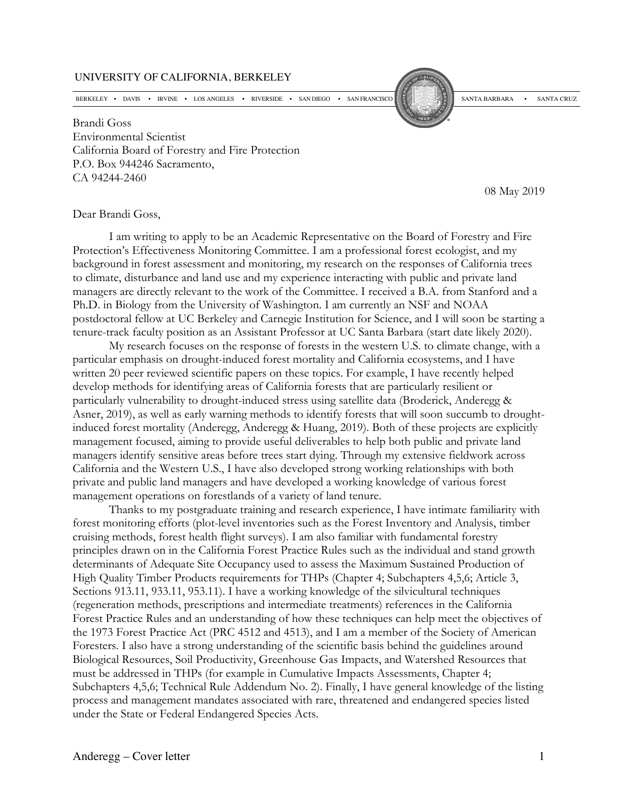## UNIVERSITY OF CALIFORNIA, BERKELEY

BERKELEY • DAVIS • IRVINE • LOS ANGELES • RIVERSIDE • SAN DIEGO • SAN FRANCISCO SAN FRANCISCO SANTA BARBARA • SANTA CRUZ<br>Brandi Goss Environmental Scientist California Board of Forestry and Fire Protection P.O. Box 944246 Sacramento, CA 94244-2460

08 May 2019

## Dear Brandi Goss,

I am writing to apply to be an Academic Representative on the Board of Forestry and Fire Protection's Effectiveness Monitoring Committee. I am a professional forest ecologist, and my background in forest assessment and monitoring, my research on the responses of California trees to climate, disturbance and land use and my experience interacting with public and private land managers are directly relevant to the work of the Committee. I received a B.A. from Stanford and a Ph.D. in Biology from the University of Washington. I am currently an NSF and NOAA postdoctoral fellow at UC Berkeley and Carnegie Institution for Science, and I will soon be starting a tenure-track faculty position as an Assistant Professor at UC Santa Barbara (start date likely 2020).

My research focuses on the response of forests in the western U.S. to climate change, with a particular emphasis on drought-induced forest mortality and California ecosystems, and I have written 20 peer reviewed scientific papers on these topics. For example, I have recently helped develop methods for identifying areas of California forests that are particularly resilient or particularly vulnerability to drought-induced stress using satellite data (Broderick, Anderegg & Asner, 2019), as well as early warning methods to identify forests that will soon succumb to droughtinduced forest mortality (Anderegg, Anderegg & Huang, 2019). Both of these projects are explicitly management focused, aiming to provide useful deliverables to help both public and private land managers identify sensitive areas before trees start dying. Through my extensive fieldwork across California and the Western U.S., I have also developed strong working relationships with both private and public land managers and have developed a working knowledge of various forest management operations on forestlands of a variety of land tenure.

Thanks to my postgraduate training and research experience, I have intimate familiarity with forest monitoring efforts (plot-level inventories such as the Forest Inventory and Analysis, timber cruising methods, forest health flight surveys). I am also familiar with fundamental forestry principles drawn on in the California Forest Practice Rules such as the individual and stand growth determinants of Adequate Site Occupancy used to assess the Maximum Sustained Production of High Quality Timber Products requirements for THPs (Chapter 4; Subchapters 4,5,6; Article 3, Sections 913.11, 933.11, 953.11). I have a working knowledge of the silvicultural techniques (regeneration methods, prescriptions and intermediate treatments) references in the California Forest Practice Rules and an understanding of how these techniques can help meet the objectives of the 1973 Forest Practice Act (PRC 4512 and 4513), and I am a member of the Society of American Foresters. I also have a strong understanding of the scientific basis behind the guidelines around Biological Resources, Soil Productivity, Greenhouse Gas Impacts, and Watershed Resources that must be addressed in THPs (for example in Cumulative Impacts Assessments, Chapter 4; Subchapters 4,5,6; Technical Rule Addendum No. 2). Finally, I have general knowledge of the listing process and management mandates associated with rare, threatened and endangered species listed under the State or Federal Endangered Species Acts.